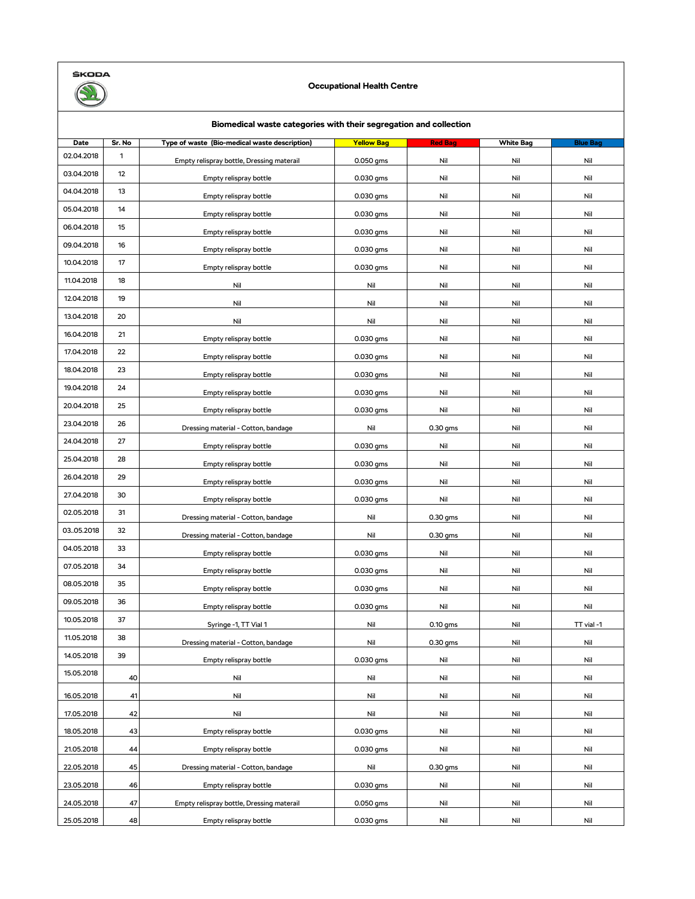

## **Occupational Health Centre**

| Biomedical waste categories with their segregation and collection |              |                                               |                   |                |                  |                 |  |  |
|-------------------------------------------------------------------|--------------|-----------------------------------------------|-------------------|----------------|------------------|-----------------|--|--|
| Date                                                              | Sr. No       | Type of waste (Bio-medical waste description) | <b>Yellow Bag</b> | <b>Red Bag</b> | <b>White Bag</b> | <b>Blue Bag</b> |  |  |
| 02.04.2018                                                        | $\mathbf{1}$ | Empty relispray bottle, Dressing materail     | 0.050 gms         | Nil            | Nil              | Nil             |  |  |
| 03.04.2018                                                        | 12           | Empty relispray bottle                        | 0.030 gms         | Nil            | Nil              | Nil             |  |  |
| 04.04.2018                                                        | 13           | Empty relispray bottle                        | 0.030 gms         | Nil            | Nil              | Nil             |  |  |
| 05.04.2018                                                        | 14           | Empty relispray bottle                        | 0.030 gms         | Nil            | Nil              | Nil             |  |  |
| 06.04.2018                                                        | 15           | Empty relispray bottle                        | 0.030 gms         | Nil            | Nil              | Nil             |  |  |
| 09.04.2018                                                        | 16           | Empty relispray bottle                        | 0.030 gms         | Nil            | Nil              | Nil             |  |  |
| 10.04.2018                                                        | 17           | Empty relispray bottle                        | 0.030 gms         | Nil            | Nil              | Nil             |  |  |
| 11.04.2018                                                        | 18           | Nil                                           | Nil               | Nil            | Nil              | Nil             |  |  |
| 12.04.2018                                                        | 19           | Nil                                           | Nil               | Nil            | Nil              | Nil             |  |  |
| 13.04.2018                                                        | 20           | Nil                                           | Nil               | Nil            | Nil              | Nil             |  |  |
| 16.04.2018                                                        | 21           | Empty relispray bottle                        | 0.030 gms         | Nil            | Nil              | Nil             |  |  |
| 17.04.2018                                                        | 22           | Empty relispray bottle                        | 0.030 gms         | Nil            | Nil              | Nil             |  |  |
| 18.04.2018                                                        | 23           | Empty relispray bottle                        | 0.030 gms         | Nil            | Nil              | Nil             |  |  |
| 19.04.2018                                                        | 24           | Empty relispray bottle                        | 0.030 gms         | Nil            | Nil              | Nil             |  |  |
| 20.04.2018                                                        | 25           | Empty relispray bottle                        | 0.030 gms         | Nil            | Nil              | Nil             |  |  |
| 23.04.2018                                                        | 26           | Dressing material - Cotton, bandage           | Nil               | $0.30$ gms     | Nil              | Nil             |  |  |
| 24.04.2018                                                        | 27           | Empty relispray bottle                        | 0.030 gms         | Nil            | Nil              | Nil             |  |  |
| 25.04.2018                                                        | 28           | Empty relispray bottle                        | 0.030 gms         | Nil            | Nil              | Nil             |  |  |
| 26.04.2018                                                        | 29           | Empty relispray bottle                        | 0.030 gms         | Nil            | Nil              | Nil             |  |  |
| 27.04.2018                                                        | 30           | Empty relispray bottle                        | 0.030 gms         | Nil            | Nil              | Nil             |  |  |
| 02.05.2018                                                        | 31           | Dressing material - Cotton, bandage           | Nil               | 0.30 gms       | Nil              | Nil             |  |  |
| 03.05.2018                                                        | 32           | Dressing material - Cotton, bandage           | Nil               | 0.30 gms       | Nil              | Nil             |  |  |
| 04.05.2018                                                        | 33           | Empty relispray bottle                        | 0.030 gms         | Nil            | Nil              | Nil             |  |  |
| 07.05.2018                                                        | 34           | Empty relispray bottle                        | 0.030 gms         | Nil            | Nil              | Nil             |  |  |
| 08.05.2018                                                        | 35           | Empty relispray bottle                        | 0.030 gms         | Nil            | Nil              | Nil             |  |  |
| 09.05.2018                                                        | 36           | Empty relispray bottle                        | 0.030 gms         | Nil            | Nil              | Nil             |  |  |
| 10.05.2018                                                        | 37           | Syringe -1, TT Vial 1                         | Nil               | 0.10 gms       | Nil              | TT vial -1      |  |  |
| 11.05.2018                                                        | 38           | Dressing material - Cotton, bandage           | Nil               | 0.30 gms       | Nil              | Nil             |  |  |
| 14.05.2018                                                        | 39           | Empty relispray bottle                        | 0.030 gms         | Nil            | Nil              | Nil             |  |  |
| 15.05.2018                                                        | 40           | Nil                                           | Nil               | Nil            | Nil              | Nil             |  |  |
| 16.05.2018                                                        | 41           | Nil                                           | Nil               | Nil            | Nil              | Nil             |  |  |
| 17.05.2018                                                        | 42           | Nil                                           | Nil               | Nil            | Nil              | Nil             |  |  |
| 18.05.2018                                                        | 43           | Empty relispray bottle                        | 0.030 gms         | Nil            | Nil              | Nil             |  |  |
| 21.05.2018                                                        | 44           | Empty relispray bottle                        | 0.030 gms         | Nil            | Nil              | Nil             |  |  |
| 22.05.2018                                                        | 45           | Dressing material - Cotton, bandage           | Nil               | 0.30 gms       | Nil              | Nil             |  |  |
| 23.05.2018                                                        | 46           | Empty relispray bottle                        | 0.030 gms         | Nil            | Nil              | Nil             |  |  |
| 24.05.2018                                                        | 47           | Empty relispray bottle, Dressing materail     | 0.050 gms         | Nil            | Nil              | Nil             |  |  |
| 25.05.2018                                                        | 48           | Empty relispray bottle                        | 0.030 gms         | Nil            | Nil              | Nil             |  |  |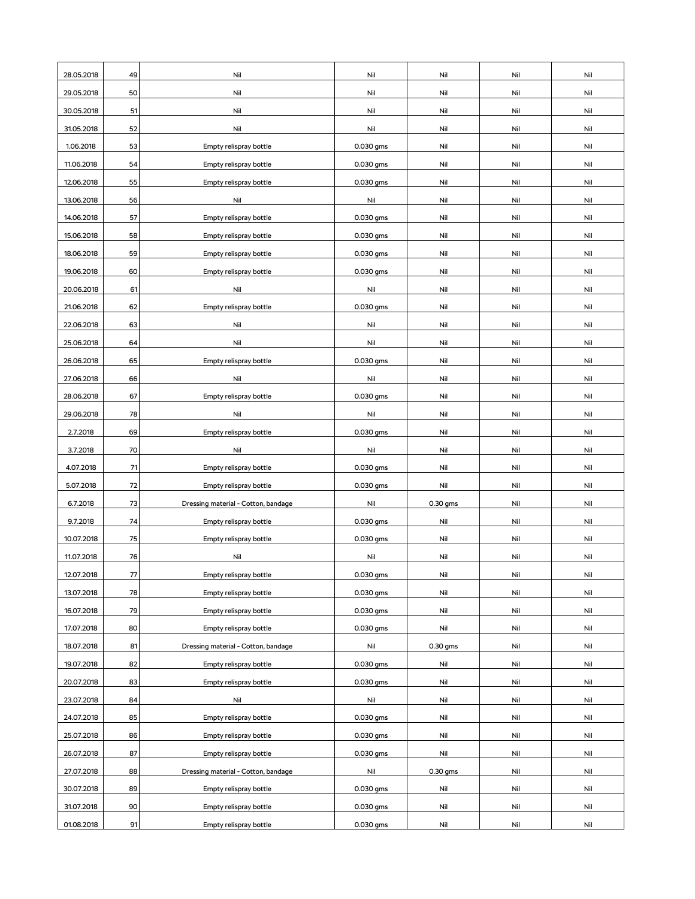| 28.05.2018 | 49 | Nil                                 | Nil       | Nil      | Nil | Nil |
|------------|----|-------------------------------------|-----------|----------|-----|-----|
| 29.05.2018 | 50 | Nil                                 | Nil       | Nil      | Nil | Nil |
| 30.05.2018 | 51 | Nil                                 | Nil       | Nil      | Nil | Nil |
| 31.05.2018 | 52 | Nil                                 | Nil       | Nil      | Nil | Nil |
| 1.06.2018  | 53 | Empty relispray bottle              | 0.030 gms | Nil      | Nil | Nil |
| 11.06.2018 | 54 | Empty relispray bottle              | 0.030 gms | Nil      | Nil | Nil |
| 12.06.2018 | 55 | Empty relispray bottle              | 0.030 gms | Nil      | Nil | Nil |
| 13.06.2018 | 56 | Nil                                 | Nil       | Nil      | Nil | Nil |
| 14.06.2018 | 57 | Empty relispray bottle              | 0.030 gms | Nil      | Nil | Nil |
| 15.06.2018 | 58 | Empty relispray bottle              | 0.030 gms | Nil      | Nil | Nil |
| 18.06.2018 | 59 | Empty relispray bottle              | 0.030 gms | Nil      | Nil | Nil |
| 19.06.2018 | 60 | Empty relispray bottle              | 0.030 gms | Nil      | Nil | Nil |
| 20.06.2018 | 61 | Nil                                 | Nil       | Nil      | Nil | Nil |
| 21.06.2018 | 62 | Empty relispray bottle              | 0.030 gms | Nil      | Nil | Nil |
| 22.06.2018 | 63 | Nil                                 | Nil       | Nil      | Nil | Nil |
| 25.06.2018 | 64 | Nil                                 | Nil       | Nil      | Nil | Nil |
| 26.06.2018 | 65 | Empty relispray bottle              | 0.030 gms | Nil      | Nil | Nil |
| 27.06.2018 | 66 | Nil                                 | Nil       | Nil      | Nil | Nil |
| 28.06.2018 | 67 | Empty relispray bottle              | 0.030 gms | Nil      | Nil | Nil |
| 29.06.2018 | 78 | Nil                                 | Nil       | Nil      | Nil | Nil |
| 2.7.2018   | 69 | Empty relispray bottle              | 0.030 gms | Nil      | Nil | Nil |
| 3.7.2018   | 70 | Nil                                 | Nil       | Nil      | Nil | Nil |
| 4.07.2018  | 71 | Empty relispray bottle              | 0.030 gms | Nil      | Nil | Nil |
| 5.07.2018  | 72 | Empty relispray bottle              | 0.030 gms | Nil      | Nil | Nil |
| 6.7.2018   | 73 | Dressing material - Cotton, bandage | Nil       | 0.30 gms | Nil | Nil |
| 9.7.2018   | 74 | Empty relispray bottle              | 0.030 gms | Nil      | Nil | Nil |
| 10.07.2018 | 75 | Empty relispray bottle              | 0.030 gms | Nil      | Nil | Nil |
| 11.07.2018 | 76 | Nil                                 | Nil       | Nil      | Nil | Nil |
| 12.07.2018 | 77 | Empty relispray bottle              | 0.030 gms | Nil      | Nil | Nil |
| 13.07.2018 | 78 | Empty relispray bottle              | 0.030 gms | Nil      | Nil | Nil |
| 16.07.2018 | 79 | Empty relispray bottle              | 0.030 gms | Nil      | Nil | Nil |
| 17.07.2018 | 80 | Empty relispray bottle              | 0.030 gms | Nil      | Nil | Nil |
| 18.07.2018 | 81 | Dressing material - Cotton, bandage | Nil       | 0.30 gms | Nil | Nil |
| 19.07.2018 | 82 | Empty relispray bottle              | 0.030 gms | Nil      | Nil | Nil |
| 20.07.2018 | 83 | Empty relispray bottle              | 0.030 gms | Nil      | Nil | Nil |
| 23.07.2018 | 84 | Nil                                 | Nil       | Nil      | Nil | Nil |
| 24.07.2018 | 85 | Empty relispray bottle              | 0.030 gms | Nil      | Nil | Nil |
| 25.07.2018 | 86 | Empty relispray bottle              | 0.030 gms | Nil      | Nil | Nil |
| 26.07.2018 | 87 | Empty relispray bottle              | 0.030 gms | Nil      | Nil | Nil |
| 27.07.2018 | 88 | Dressing material - Cotton, bandage | Nil       | 0.30 gms | Nil | Nil |
| 30.07.2018 | 89 | Empty relispray bottle              | 0.030 gms | Nil      | Nil | Nil |
| 31.07.2018 | 90 | Empty relispray bottle              | 0.030 gms | Nil      | Nil | Nil |
| 01.08.2018 | 91 | Empty relispray bottle              | 0.030 gms | Nil      | Nil | Nil |
|            |    |                                     |           |          |     |     |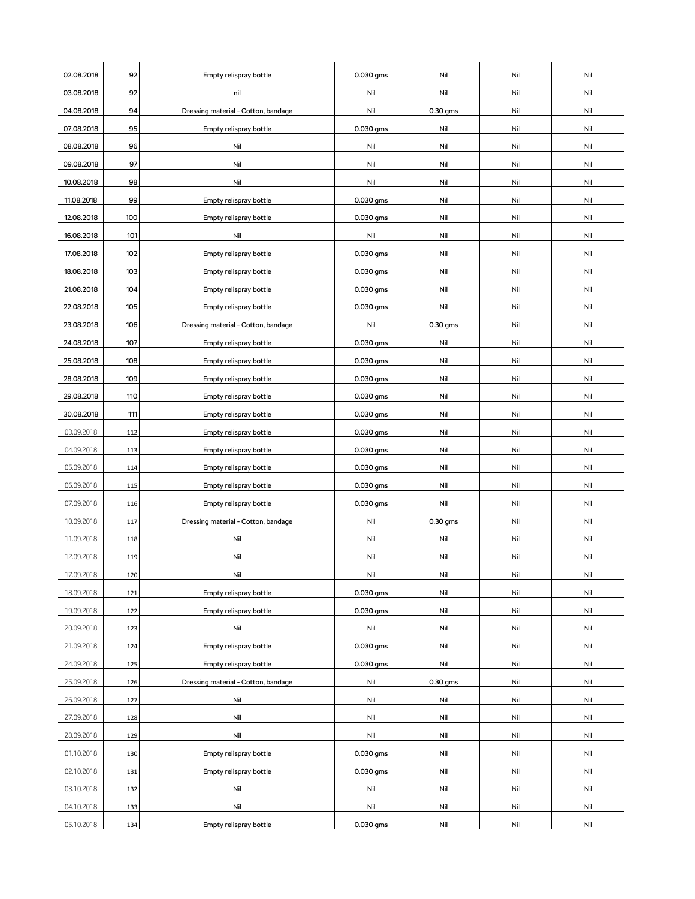| 02.08.2018 | 92  | Empty relispray bottle              | 0.030 gms | Nil        | Nil | Nil |
|------------|-----|-------------------------------------|-----------|------------|-----|-----|
| 03.08.2018 | 92  | nil                                 | Nil       | Nil        | Nil | Nil |
| 04.08.2018 | 94  | Dressing material - Cotton, bandage | Nil       | $0.30$ gms | Nil | Nil |
| 07.08.2018 | 95  | Empty relispray bottle              | 0.030 gms | Nil        | Nil | Nil |
| 08.08.2018 | 96  | Nil                                 | Nil       | Nil        | Nil | Nil |
| 09.08.2018 | 97  | Nil                                 | Nil       | Nil        | Nil | Nil |
| 10.08.2018 | 98  | Nil                                 | Nil       | Nil        | Nil | Nil |
| 11.08.2018 | 99  | Empty relispray bottle              | 0.030 gms | Nil        | Nil | Nil |
| 12.08.2018 | 100 | Empty relispray bottle              | 0.030 gms | Nil        | Nil | Nil |
| 16.08.2018 | 101 | Nil                                 | Nil       | Nil        | Nil | Nil |
| 17.08.2018 | 102 | Empty relispray bottle              | 0.030 gms | Nil        | Nil | Nil |
| 18.08.2018 | 103 | Empty relispray bottle              | 0.030 gms | Nil        | Nil | Nil |
| 21.08.2018 | 104 | Empty relispray bottle              | 0.030 gms | Nil        | Nil | Nil |
| 22.08.2018 | 105 | Empty relispray bottle              | 0.030 gms | Nil        | Nil | Nil |
| 23.08.2018 | 106 | Dressing material - Cotton, bandage | Nil       | 0.30 gms   | Nil | Nil |
| 24.08.2018 | 107 | Empty relispray bottle              | 0.030 gms | Nil        | Nil | Nil |
| 25.08.2018 | 108 | Empty relispray bottle              | 0.030 gms | Nil        | Nil | Nil |
| 28.08.2018 | 109 | Empty relispray bottle              | 0.030 gms | Nil        | Nil | Nil |
| 29.08.2018 | 110 | Empty relispray bottle              | 0.030 gms | Nil        | Nil | Nil |
| 30.08.2018 | 111 | Empty relispray bottle              | 0.030 gms | Nil        | Nil | Nil |
| 03.09.2018 | 112 | Empty relispray bottle              | 0.030 gms | Nil        | Nil | Nil |
| 04.09.2018 | 113 | Empty relispray bottle              | 0.030 gms | Nil        | Nil | Nil |
| 05.09.2018 | 114 | Empty relispray bottle              | 0.030 gms | Nil        | Nil | Nil |
| 06.09.2018 | 115 | Empty relispray bottle              | 0.030 gms | Nil        | Nil | Nil |
| 07.09.2018 | 116 | Empty relispray bottle              | 0.030 gms | Nil        | Nil | Nil |
| 10.09.2018 | 117 | Dressing material - Cotton, bandage | Nil       | $0.30$ gms | Nil | Nil |
| 11.09.2018 | 118 | Nil                                 | Nil       | Nil        | Nil | Nil |
| 12.09.2018 | 119 | Nil                                 | Nil       | Nil        | Nil | Nil |
| 17.09.2018 | 120 | Nil                                 | Nil       | Nil        | Nil | Nil |
| 18.09.2018 | 121 | Empty relispray bottle              | 0.030 gms | Nil        | Nil | Nil |
| 19.09.2018 | 122 | Empty relispray bottle              | 0.030 gms | Nil        | Nil | Nil |
| 20.09.2018 | 123 | Nil                                 | Nil       | Nil        | Nil | Nil |
| 21.09.2018 | 124 | Empty relispray bottle              | 0.030 gms | Nil        | Nil | Nil |
| 24.09.2018 | 125 | Empty relispray bottle              | 0.030 gms | Nil        | Nil | Nil |
| 25.09.2018 | 126 | Dressing material - Cotton, bandage | Nil       | 0.30 gms   | Nil | Nil |
| 26.09.2018 | 127 | Nil                                 | Nil       | Nil        | Nil | Nil |
| 27.09.2018 | 128 | Nil                                 | Nil       | Nil        | Nil | Nil |
| 28.09.2018 | 129 | Nil                                 | Nil       | Nil        | Nil | Nil |
| 01.10.2018 | 130 | Empty relispray bottle              | 0.030 gms | Nil        | Nil | Nil |
| 02.10.2018 | 131 | Empty relispray bottle              | 0.030 gms | Nil        | Nil | Nil |
| 03.10.2018 | 132 | Nil                                 | Nil       | Nil        | Nil | Nil |
| 04.10.2018 | 133 | Nil                                 | Nil       | Nil        | Nil | Nil |
| 05.10.2018 | 134 | Empty relispray bottle              | 0.030 gms | Nil        | Nil | Nil |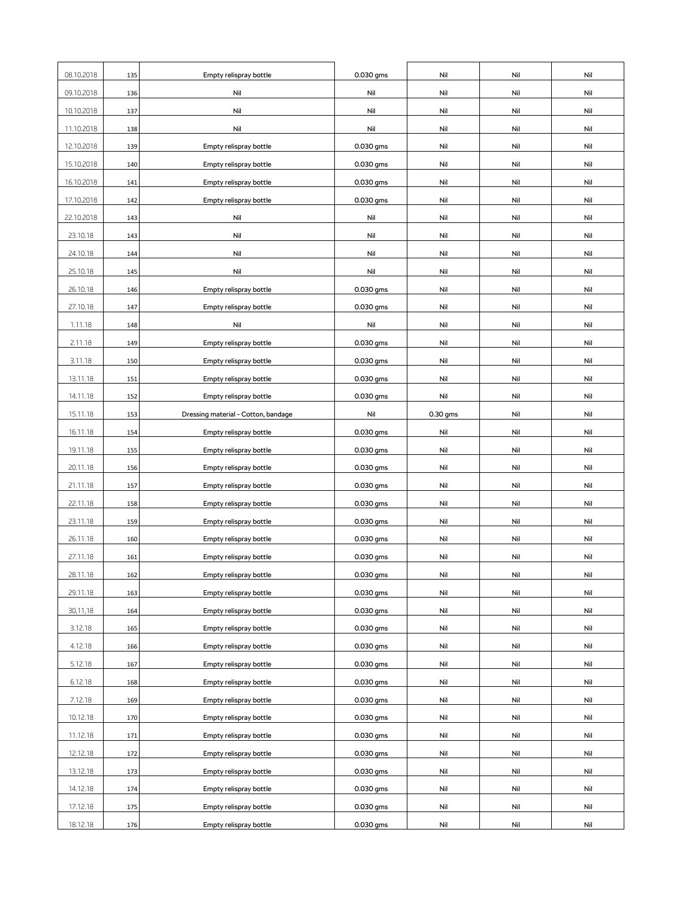| 08.10.2018 | 135 | Empty relispray bottle              | 0.030 gms | Nil      | Nil | Nil |
|------------|-----|-------------------------------------|-----------|----------|-----|-----|
| 09.10.2018 | 136 | Nil                                 | Nil       | Nil      | Nil | Nil |
| 10.10.2018 | 137 | Nil                                 | Nil       | Nil      | Nil | Nil |
| 11.10.2018 | 138 | Nil                                 | Nil       | Nil      | Nil | Nil |
| 12.10.2018 | 139 | Empty relispray bottle              | 0.030 gms | Nil      | Nil | Nil |
| 15.10.2018 | 140 | Empty relispray bottle              | 0.030 gms | Nil      | Nil | Nil |
| 16.10.2018 | 141 | Empty relispray bottle              | 0.030 gms | Nil      | Nil | Nil |
| 17.10.2018 | 142 | Empty relispray bottle              | 0.030 gms | Nil      | Nil | Nil |
| 22.10.2018 | 143 | Nil                                 | Nil       | Nil      | Nil | Nil |
| 23.10.18   | 143 | Nil                                 | Nil       | Nil      | Nil | Nil |
| 24.10.18   | 144 | Nil                                 | Nil       | Nil      | Nil | Nil |
| 25.10.18   | 145 | Nil                                 | Nil       | Nil      | Nil | Nil |
| 26.10.18   | 146 | Empty relispray bottle              | 0.030 gms | Nil      | Nil | Nil |
| 27.10.18   | 147 | Empty relispray bottle              | 0.030 gms | Nil      | Nil | Nil |
| 1.11.18    | 148 | Nil                                 | Nil       | Nil      | Nil | Nil |
| 2.11.18    | 149 | Empty relispray bottle              | 0.030 gms | Nil      | Nil | Nil |
| 3.11.18    | 150 | Empty relispray bottle              | 0.030 gms | Nil      | Nil | Nil |
| 13.11.18   | 151 | Empty relispray bottle              | 0.030 gms | Nil      | Nil | Nil |
| 14.11.18   | 152 | Empty relispray bottle              | 0.030 gms | Nil      | Nil | Nil |
| 15.11.18   | 153 | Dressing material - Cotton, bandage | Nil       | 0.30 gms | Nil | Nil |
| 16.11.18   | 154 | Empty relispray bottle              | 0.030 gms | Nil      | Nil | Nil |
| 19.11.18   | 155 | Empty relispray bottle              | 0.030 gms | Nil      | Nil | Nil |
| 20.11.18   | 156 | Empty relispray bottle              | 0.030 gms | Nil      | Nil | Nil |
| 21.11.18   | 157 | Empty relispray bottle              | 0.030 gms | Nil      | Nil | Nil |
| 22.11.18   | 158 | Empty relispray bottle              | 0.030 gms | Nil      | Nil | Nil |
| 23.11.18   | 159 | Empty relispray bottle              | 0.030 gms | Nil      | Nil | Nil |
| 26.11.18   | 160 | Empty relispray bottle              | 0.030 gms | Nil      | Nil | Nil |
| 27.11.18   | 161 | Empty relispray bottle              | 0.030 gms | Nil      | Nil | Nil |
| 28.11.18   | 162 | Empty relispray bottle              | 0.030 gms | Nil      | Nil | Nil |
| 29.11.18   | 163 | Empty relispray bottle              | 0.030 gms | Nil      | Nil | Nil |
| 30,11,18   | 164 | Empty relispray bottle              | 0.030 gms | Nil      | Nil | Nil |
| 3.12.18    | 165 | Empty relispray bottle              | 0.030 gms | Nil      | Nil | Nil |
| 4.12.18    | 166 | Empty relispray bottle              | 0.030 gms | Nil      | Nil | Nil |
| 5.12.18    | 167 | Empty relispray bottle              | 0.030 gms | Nil      | Nil | Nil |
| 6.12.18    | 168 | Empty relispray bottle              | 0.030 gms | Nil      | Nil | Nil |
| 7.12.18    | 169 | Empty relispray bottle              | 0.030 gms | Nil      | Nil | Nil |
| 10.12.18   | 170 | Empty relispray bottle              | 0.030 gms | Nil      | Nil | Nil |
| 11.12.18   | 171 | Empty relispray bottle              | 0.030 gms | Nil      | Nil | Nil |
| 12.12.18   | 172 | Empty relispray bottle              | 0.030 gms | Nil      | Nil | Nil |
| 13.12.18   | 173 | Empty relispray bottle              | 0.030 gms | Nil      | Nil | Nil |
| 14.12.18   | 174 | Empty relispray bottle              | 0.030 gms | Nil      | Nil | Nil |
| 17.12.18   | 175 | Empty relispray bottle              | 0.030 gms | Nil      | Nil | Nil |
| 18.12.18   | 176 | Empty relispray bottle              | 0.030 gms | Nil      | Nil | Nil |